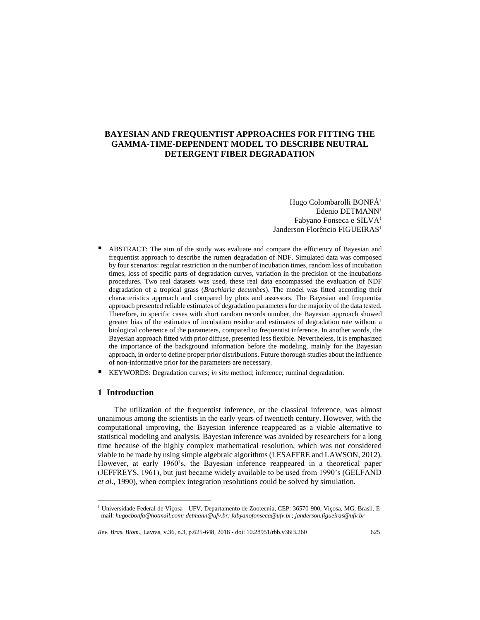# **BAYESIAN AND FREQUENTIST APPROACHES FOR FITTING THE GAMMA-TIME-DEPENDENT MODEL TO DESCRIBE NEUTRAL DETERGENT FIBER DEGRADATION**

Hugo Colombarolli BONFÁ<sup>1</sup> Edenio DETMANN<sup>1</sup> Fabyano Fonseca e SILVA<sup>1</sup> Janderson Florêncio FIGUEIRAS<sup>1</sup>

- ABSTRACT: The aim of the study was evaluate and compare the efficiency of Bayesian and frequentist approach to describe the rumen degradation of NDF. Simulated data was composed by four scenarios: regular restriction in the number of incubation times, random loss of incubation times, loss of specific parts of degradation curves, variation in the precision of the incubations procedures. Two real datasets was used, these real data encompassed the evaluation of NDF degradation of a tropical grass (*Brachiaria decumbes*). The model was fitted according their characteristics approach and compared by plots and assessors. The Bayesian and frequentist approach presented reliable estimates of degradation parameters for the majority of the data tested. Therefore, in specific cases with short random records number, the Bayesian approach showed greater bias of the estimates of incubation residue and estimates of degradation rate without a biological coherence of the parameters, compared to frequentist inference. In another words, the Bayesian approach fitted with prior diffuse, presented less flexible. Nevertheless, it is emphasized the importance of the background information before the modeling, mainly for the Bayesian approach, in order to define proper prior distributions. Future thorough studies about the influence of non-informative prior for the parameters are necessary.
- KEYWORDS: Degradation curves; *in situ* method; inference; ruminal degradation.

## **1 Introduction**

 $\overline{a}$ 

The utilization of the frequentist inference, or the classical inference, was almost unanimous among the scientists in the early years of twentieth century. However, with the computational improving, the Bayesian inference reappeared as a viable alternative to statistical modeling and analysis. Bayesian inference was avoided by researchers for a long time because of the highly complex mathematical resolution, which was not considered viable to be made by using simple algebraic algorithms (LESAFFRE and LAWSON, 2012). However, at early 1960's, the Bayesian inference reappeared in a theoretical paper (JEFFREYS, 1961), but just became widely available to be used from 1990's (GELFAND *et al.*, 1990), when complex integration resolutions could be solved by simulation.

<sup>1</sup> Universidade Federal de Viçosa - UFV, Departamento de Zootecnia, CEP: 36570-900, Viçosa, MG, Brasil. Email: *hugocbonfa@hotmail.com; detmann@ufv.br; fabyanofonseca@ufv.br; janderson.figueiras@ufv.br*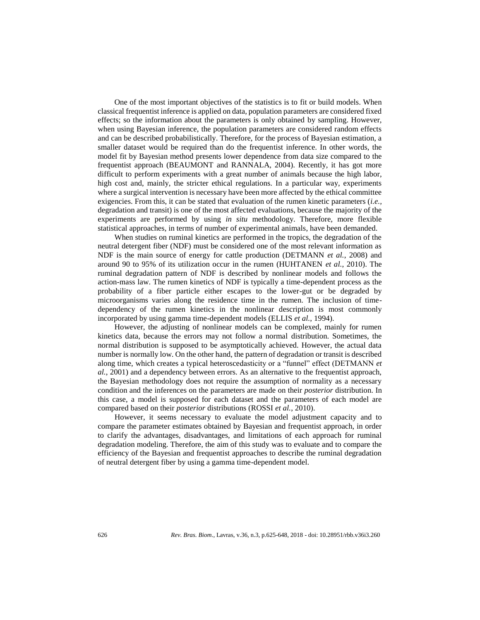One of the most important objectives of the statistics is to fit or build models. When classical frequentist inference is applied on data, population parameters are considered fixed effects; so the information about the parameters is only obtained by sampling. However, when using Bayesian inference, the population parameters are considered random effects and can be described probabilistically. Therefore, for the process of Bayesian estimation, a smaller dataset would be required than do the frequentist inference. In other words, the model fit by Bayesian method presents lower dependence from data size compared to the frequentist approach (BEAUMONT and RANNALA, 2004). Recently, it has got more difficult to perform experiments with a great number of animals because the high labor, high cost and, mainly, the stricter ethical regulations. In a particular way, experiments where a surgical intervention is necessary have been more affected by the ethical committee exigencies. From this, it can be stated that evaluation of the rumen kinetic parameters (*i.e.,* degradation and transit) is one of the most affected evaluations, because the majority of the experiments are performed by using *in situ* methodology. Therefore, more flexible statistical approaches, in terms of number of experimental animals, have been demanded.

When studies on ruminal kinetics are performed in the tropics, the degradation of the neutral detergent fiber (NDF) must be considered one of the most relevant information as NDF is the main source of energy for cattle production (DETMANN *et al.*, 2008) and around 90 to 95% of its utilization occur in the rumen (HUHTANEN *et al.*, 2010). The ruminal degradation pattern of NDF is described by nonlinear models and follows the action-mass law. The rumen kinetics of NDF is typically a time-dependent process as the probability of a fiber particle either escapes to the lower-gut or be degraded by microorganisms varies along the residence time in the rumen. The inclusion of timedependency of the rumen kinetics in the nonlinear description is most commonly incorporated by using gamma time-dependent models (ELLIS *et al.*, 1994).

However, the adjusting of nonlinear models can be complexed, mainly for rumen kinetics data, because the errors may not follow a normal distribution. Sometimes, the normal distribution is supposed to be asymptotically achieved. However, the actual data number is normally low. On the other hand, the pattern of degradation or transit is described along time, which creates a typical heteroscedasticity or a "funnel" effect (DETMANN *et al.*, 2001) and a dependency between errors. As an alternative to the frequentist approach, the Bayesian methodology does not require the assumption of normality as a necessary condition and the inferences on the parameters are made on their *posterior* distribution. In this case, a model is supposed for each dataset and the parameters of each model are compared based on their *posterior* distributions (ROSSI *et al.*, 2010).

However, it seems necessary to evaluate the model adjustment capacity and to compare the parameter estimates obtained by Bayesian and frequentist approach, in order to clarify the advantages, disadvantages, and limitations of each approach for ruminal degradation modeling. Therefore, the aim of this study was to evaluate and to compare the efficiency of the Bayesian and frequentist approaches to describe the ruminal degradation of neutral detergent fiber by using a gamma time-dependent model.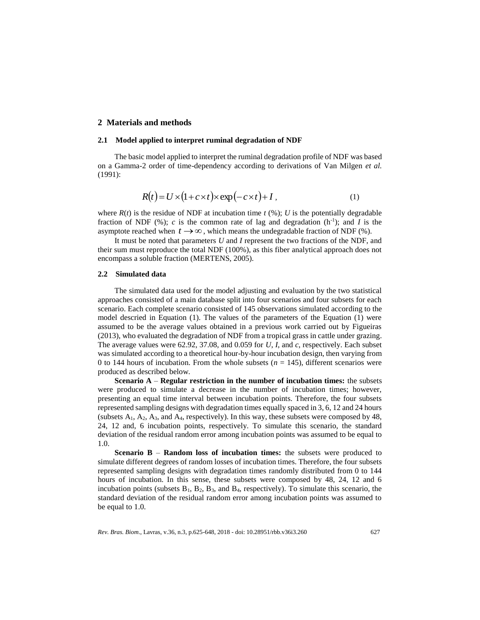# **2 Materials and methods**

#### **2.1 Model applied to interpret ruminal degradation of NDF**

The basic model applied to interpret the ruminal degradation profile of NDF was based on a Gamma-2 order of time-dependency according to derivations of Van Milgen *et al.* (1991):

$$
R(t) = U \times (1 + c \times t) \times \exp(-c \times t) + I, \tag{1}
$$

where  $R(t)$  is the residue of NDF at incubation time  $t$  (%); *U* is the potentially degradable fraction of NDF  $(\%)$ ; *c* is the common rate of lag and degradation  $(h^{-1})$ ; and *I* is the asymptote reached when  $t \rightarrow \infty$ , which means the undegradable fraction of NDF (%).

It must be noted that parameters *U* and *I* represent the two fractions of the NDF, and their sum must reproduce the total NDF (100%), as this fiber analytical approach does not encompass a soluble fraction (MERTENS, 2005).

### **2.2 Simulated data**

The simulated data used for the model adjusting and evaluation by the two statistical approaches consisted of a main database split into four scenarios and four subsets for each scenario. Each complete scenario consisted of 145 observations simulated according to the model descried in Equation (1). The values of the parameters of the Equation (1) were assumed to be the average values obtained in a previous work carried out by Figueiras (2013), who evaluated the degradation of NDF from a tropical grass in cattle under grazing. The average values were 62.92, 37.08, and 0.059 for *U*, *I*, and *c*, respectively. Each subset was simulated according to a theoretical hour-by-hour incubation design, then varying from 0 to 144 hours of incubation. From the whole subsets  $(n = 145)$ , different scenarios were produced as described below.

**Scenario A** – **Regular restriction in the number of incubation times:** the subsets were produced to simulate a decrease in the number of incubation times; however, presenting an equal time interval between incubation points. Therefore, the four subsets represented sampling designs with degradation times equally spaced in 3, 6, 12 and 24 hours (subsets  $A_1$ ,  $A_2$ ,  $A_3$ , and  $A_4$ , respectively). In this way, these subsets were composed by 48, 24, 12 and, 6 incubation points, respectively. To simulate this scenario, the standard deviation of the residual random error among incubation points was assumed to be equal to 1.0.

**Scenario B** – **Random loss of incubation times:** the subsets were produced to simulate different degrees of random losses of incubation times. Therefore, the four subsets represented sampling designs with degradation times randomly distributed from 0 to 144 hours of incubation. In this sense, these subsets were composed by 48, 24, 12 and 6 incubation points (subsets  $B_1$ ,  $B_2$ ,  $B_3$ , and  $B_4$ , respectively). To simulate this scenario, the standard deviation of the residual random error among incubation points was assumed to be equal to 1.0.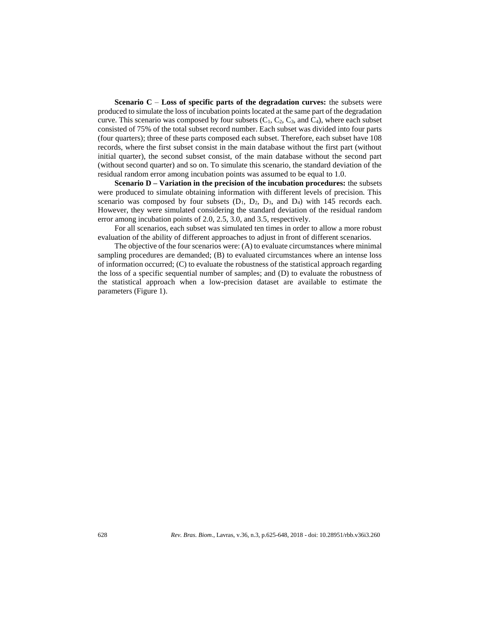**Scenario C** – **Loss of specific parts of the degradation curves:** the subsets were produced to simulate the loss of incubation points located at the same part of the degradation curve. This scenario was composed by four subsets  $(C_1, C_2, C_3,$  and  $C_4$ ), where each subset consisted of 75% of the total subset record number. Each subset was divided into four parts (four quarters); three of these parts composed each subset. Therefore, each subset have 108 records, where the first subset consist in the main database without the first part (without initial quarter), the second subset consist, of the main database without the second part (without second quarter) and so on. To simulate this scenario, the standard deviation of the residual random error among incubation points was assumed to be equal to 1.0.

**Scenario D – Variation in the precision of the incubation procedures:** the subsets were produced to simulate obtaining information with different levels of precision. This scenario was composed by four subsets  $(D_1, D_2, D_3, and D_4)$  with 145 records each. However, they were simulated considering the standard deviation of the residual random error among incubation points of 2.0, 2.5, 3.0, and 3.5, respectively.

For all scenarios, each subset was simulated ten times in order to allow a more robust evaluation of the ability of different approaches to adjust in front of different scenarios.

The objective of the four scenarios were: (A) to evaluate circumstances where minimal sampling procedures are demanded; (B) to evaluated circumstances where an intense loss of information occurred; (C) to evaluate the robustness of the statistical approach regarding the loss of a specific sequential number of samples; and (D) to evaluate the robustness of the statistical approach when a low-precision dataset are available to estimate the parameters (Figure 1).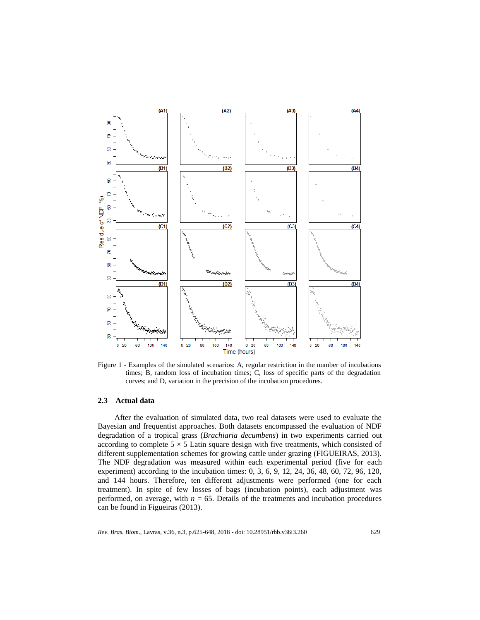

Figure 1 - Examples of the simulated scenarios: A, regular restriction in the number of incubations times; B, random loss of incubation times; C, loss of specific parts of the degradation curves; and D, variation in the precision of the incubation procedures.

#### **2.3 Actual data**

After the evaluation of simulated data, two real datasets were used to evaluate the Bayesian and frequentist approaches. Both datasets encompassed the evaluation of NDF degradation of a tropical grass (*Brachiaria decumbens*) in two experiments carried out according to complete  $5 \times 5$  Latin square design with five treatments, which consisted of different supplementation schemes for growing cattle under grazing (FIGUEIRAS, 2013). The NDF degradation was measured within each experimental period (five for each experiment) according to the incubation times: 0, 3, 6, 9, 12, 24, 36, 48, 60, 72, 96, 120, and 144 hours. Therefore, ten different adjustments were performed (one for each treatment). In spite of few losses of bags (incubation points), each adjustment was performed, on average, with  $n = 65$ . Details of the treatments and incubation procedures can be found in Figueiras (2013).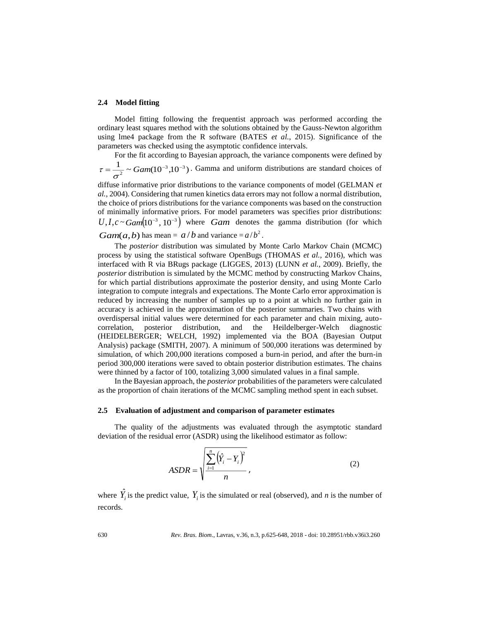#### **2.4 Model fitting**

Model fitting following the frequentist approach was performed according the ordinary least squares method with the solutions obtained by the Gauss-Newton algorithm using lme4 package from the R software (BATES *et al.*, 2015). Significance of the parameters was checked using the asymptotic confidence intervals.

For the fit according to Bayesian approach, the variance components were defined by  $\frac{1}{2}$  ~ Gam(10<sup>-3</sup>,10<sup>-3</sup>)  $=\frac{1}{2}$  ~ Gam(10<sup>-3</sup>,10<sup>-4</sup>) σ  $\tau = \frac{1}{\tau} \sim \frac{Gamma(10^{-3} \cdot 10^{-3})}{\tau}$ . Gamma and uniform distributions are standard choices of

diffuse informative prior distributions to the variance components of model (GELMAN *et al.*, 2004). Considering that rumen kinetics data errors may not follow a normal distribution, the choice of priors distributions for the variance components was based on the construction of minimally informative priors. For model parameters was specifies prior distributions:  $U, I, c \sim Gam(10^{-3}, 10^{-3})$  where *Gam* denotes the gamma distribution (for which *Gam*(*a*,*b*) has mean =  $a/b$  and variance =  $a/b<sup>2</sup>$ .

The *posterior* distribution was simulated by Monte Carlo Markov Chain (MCMC) process by using the statistical software OpenBugs (THOMAS *et al.*, 2016), which was interfaced with R via BRugs package (LIGGES, 2013) (LUNN *et al.*, 2009). Briefly, the *posterior* distribution is simulated by the MCMC method by constructing Markov Chains, for which partial distributions approximate the posterior density, and using Monte Carlo integration to compute integrals and expectations. The Monte Carlo error approximation is reduced by increasing the number of samples up to a point at which no further gain in accuracy is achieved in the approximation of the posterior summaries. Two chains with overdispersal initial values were determined for each parameter and chain mixing, autocorrelation, posterior distribution, and the Heildelberger-Welch diagnostic (HEIDELBERGER; WELCH, 1992) implemented via the BOA (Bayesian Output Analysis) package (SMITH, 2007). A minimum of 500,000 iterations was determined by simulation, of which 200,000 iterations composed a burn-in period, and after the burn-in period 300,000 iterations were saved to obtain posterior distribution estimates. The chains were thinned by a factor of 100, totalizing 3,000 simulated values in a final sample.

In the Bayesian approach, the *posterior* probabilities of the parameters were calculated as the proportion of chain iterations of the MCMC sampling method spent in each subset.

#### **2.5 Evaluation of adjustment and comparison of parameter estimates**

The quality of the adjustments was evaluated through the asymptotic standard deviation of the residual error (ASDR) using the likelihood estimator as follow:

$$
ASDR = \sqrt{\frac{\sum_{i=1}^{n} (\hat{Y}_i - Y_i)^2}{n}},
$$
\n(2)

where  $\hat{Y}_i$  is the predict value,  $Y_i$  is the simulated or real (observed), and *n* is the number of records.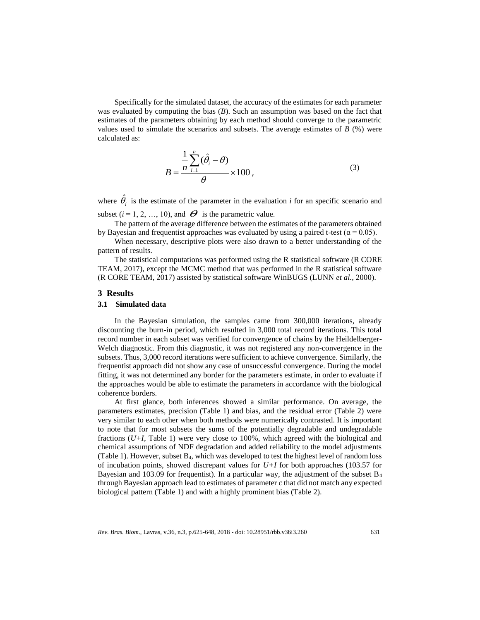Specifically for the simulated dataset, the accuracy of the estimates for each parameter was evaluated by computing the bias (*B*). Such an assumption was based on the fact that estimates of the parameters obtaining by each method should converge to the parametric values used to simulate the scenarios and subsets. The average estimates of  $B(%)$  were calculated as:

$$
B = \frac{\frac{1}{n} \sum_{i=1}^{n} (\hat{\theta}_i - \theta)}{\theta} \times 100,
$$
\n(3)

where  $\hat{\theta}_i$  is the estimate of the parameter in the evaluation *i* for an specific scenario and subset  $(i = 1, 2, ..., 10)$ , and  $\boldsymbol{\Theta}$  is the parametric value.

The pattern of the average difference between the estimates of the parameters obtained by Bayesian and frequentist approaches was evaluated by using a paired t-test ( $\alpha = 0.05$ ).

When necessary, descriptive plots were also drawn to a better understanding of the pattern of results.

The statistical computations was performed using the R statistical software (R CORE TEAM, 2017), except the MCMC method that was performed in the R statistical software (R CORE TEAM, 2017) assisted by statistical software WinBUGS (LUNN *et al.*, 2000).

#### **3 Results**

#### **3.1 Simulated data**

In the Bayesian simulation, the samples came from 300,000 iterations, already discounting the burn-in period, which resulted in 3,000 total record iterations. This total record number in each subset was verified for convergence of chains by the Heildelberger-Welch diagnostic. From this diagnostic, it was not registered any non-convergence in the subsets. Thus, 3,000 record iterations were sufficient to achieve convergence. Similarly, the frequentist approach did not show any case of unsuccessful convergence. During the model fitting, it was not determined any border for the parameters estimate, in order to evaluate if the approaches would be able to estimate the parameters in accordance with the biological coherence borders.

At first glance, both inferences showed a similar performance. On average, the parameters estimates, precision (Table 1) and bias, and the residual error (Table 2) were very similar to each other when both methods were numerically contrasted. It is important to note that for most subsets the sums of the potentially degradable and undegradable fractions (*U+I*, Table 1) were very close to 100%, which agreed with the biological and chemical assumptions of NDF degradation and added reliability to the model adjustments (Table 1). However, subset B4, which was developed to test the highest level of random loss of incubation points, showed discrepant values for *U+I* for both approaches (103.57 for Bayesian and 103.09 for frequentist). In a particular way, the adjustment of the subset  $B_4$ through Bayesian approach lead to estimates of parameter *c* that did not match any expected biological pattern (Table 1) and with a highly prominent bias (Table 2).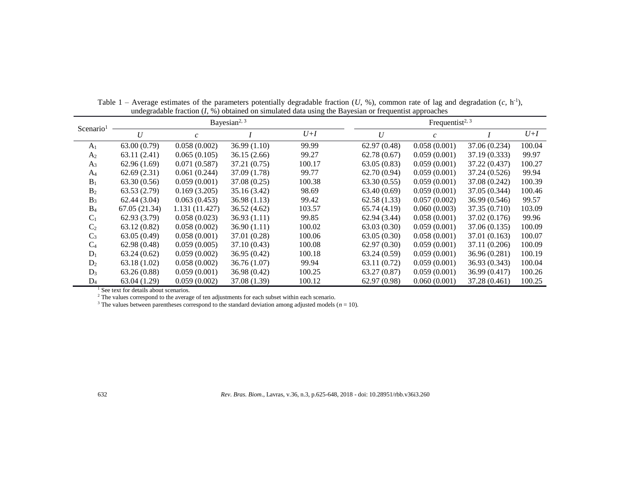|                |               |                | Bayesian <sup>2, 3</sup> | Frequentist <sup>2, 3</sup> |             |               |               |        |
|----------------|---------------|----------------|--------------------------|-----------------------------|-------------|---------------|---------------|--------|
| Scenario       | U             | $\mathcal{C}$  |                          | $U+I$                       | U           | $\mathcal{C}$ |               | $U+I$  |
| A <sub>1</sub> | 63.00(0.79)   | 0.058(0.002)   | 36.99(1.10)              | 99.99                       | 62.97(0.48) | 0.058(0.001)  | 37.06 (0.234) | 100.04 |
| A <sub>2</sub> | 63.11(2.41)   | 0.065(0.105)   | 36.15(2.66)              | 99.27                       | 62.78(0.67) | 0.059(0.001)  | 37.19 (0.333) | 99.97  |
| $A_3$          | 62.96(1.69)   | 0.071(0.587)   | 37.21(0.75)              | 100.17                      | 63.05(0.83) | 0.059(0.001)  | 37.22 (0.437) | 100.27 |
| $A_4$          | 62.69(2.31)   | 0.061(0.244)   | 37.09 (1.78)             | 99.77                       | 62.70(0.94) | 0.059(0.001)  | 37.24 (0.526) | 99.94  |
| $B_1$          | 63.30(0.56)   | 0.059(0.001)   | 37.08(0.25)              | 100.38                      | 63.30(0.55) | 0.059(0.001)  | 37.08 (0.242) | 100.39 |
| B <sub>2</sub> | 63.53(2.79)   | 0.169(3.205)   | 35.16 (3.42)             | 98.69                       | 63.40(0.69) | 0.059(0.001)  | 37.05 (0.344) | 100.46 |
| $B_3$          | 62.44(3.04)   | 0.063(0.453)   | 36.98(1.13)              | 99.42                       | 62.58(1.33) | 0.057(0.002)  | 36.99 (0.546) | 99.57  |
| $B_4$          | 67.05 (21.34) | 1.131 (11.427) | 36.52(4.62)              | 103.57                      | 65.74(4.19) | 0.060(0.003)  | 37.35 (0.710) | 103.09 |
| $C_1$          | 62.93(3.79)   | 0.058(0.023)   | 36.93(1.11)              | 99.85                       | 62.94(3.44) | 0.058(0.001)  | 37.02 (0.176) | 99.96  |
| C <sub>2</sub> | 63.12(0.82)   | 0.058(0.002)   | 36.90(1.11)              | 100.02                      | 63.03(0.30) | 0.059(0.001)  | 37.06 (0.135) | 100.09 |
| $C_3$          | 63.05(0.49)   | 0.058(0.001)   | 37.01 (0.28)             | 100.06                      | 63.05(0.30) | 0.058(0.001)  | 37.01 (0.163) | 100.07 |
| $C_4$          | 62.98(0.48)   | 0.059(0.005)   | 37.10(0.43)              | 100.08                      | 62.97(0.30) | 0.059(0.001)  | 37.11 (0.206) | 100.09 |
| $D_1$          | 63.24(0.62)   | 0.059(0.002)   | 36.95(0.42)              | 100.18                      | 63.24(0.59) | 0.059(0.001)  | 36.96 (0.281) | 100.19 |
| $D_2$          | 63.18(1.02)   | 0.058(0.002)   | 36.76(1.07)              | 99.94                       | 63.11(0.72) | 0.059(0.001)  | 36.93 (0.343) | 100.04 |
| $D_3$          | 63.26(0.88)   | 0.059(0.001)   | 36.98(0.42)              | 100.25                      | 63.27(0.87) | 0.059(0.001)  | 36.99 (0.417) | 100.26 |
| $D_4$          | 63.04 (1.29)  | 0.059(0.002)   | 37.08 (1.39)             | 100.12                      | 62.97(0.98) | 0.060(0.001)  | 37.28 (0.461) | 100.25 |

Table  $1$  – Average estimates of the parameters potentially degradable fraction  $(U, %)$ , common rate of lag and degradation  $(c, h<sup>-1</sup>)$ , undegradable fraction (*I*, %) obtained on simulated data using the Bayesian or frequentist approaches

<sup>1</sup> See text for details about scenarios.

 $2$  The values correspond to the average of ten adjustments for each subset within each scenario.

<sup>3</sup> The values between parentheses correspond to the standard deviation among adjusted models ( $n = 10$ ).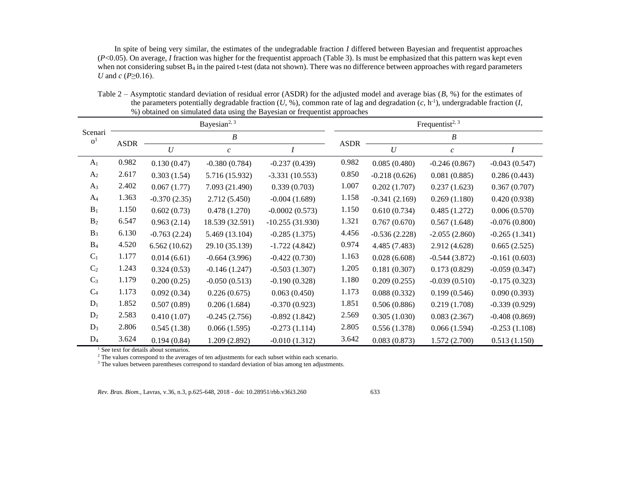In spite of being very similar, the estimates of the undegradable fraction *I* differed between Bayesian and frequentist approaches (*P*<0.05). On average, *I* fraction was higher for the frequentist approach (Table 3). Is must be emphasized that this pattern was kept even when not considering subset  $B_4$  in the paired t-test (data not shown). There was no difference between approaches with regard parameters *U* and *c* (*P*≥0.16).

|                           |             |                | Bayesian <sup>2, 3</sup> |                   |             | Frequentist <sup>2, 3</sup> |                  |                 |  |  |
|---------------------------|-------------|----------------|--------------------------|-------------------|-------------|-----------------------------|------------------|-----------------|--|--|
| Scenari<br>o <sup>1</sup> |             |                | B                        |                   |             | B                           |                  |                 |  |  |
|                           | <b>ASDR</b> | U              | $\mathcal{C}$            |                   | <b>ASDR</b> | U                           | $\boldsymbol{c}$ |                 |  |  |
| A <sub>1</sub>            | 0.982       | 0.130(0.47)    | $-0.380(0.784)$          | $-0.237(0.439)$   | 0.982       | 0.085(0.480)                | $-0.246(0.867)$  | $-0.043(0.547)$ |  |  |
| A <sub>2</sub>            | 2.617       | 0.303(1.54)    | 5.716 (15.932)           | $-3.331(10.553)$  | 0.850       | $-0.218(0.626)$             | 0.081(0.885)     | 0.286(0.443)    |  |  |
| $A_3$                     | 2.402       | 0.067(1.77)    | 7.093 (21.490)           | 0.339(0.703)      | 1.007       | 0.202(1.707)                | 0.237(1.623)     | 0.367(0.707)    |  |  |
| A <sub>4</sub>            | 1.363       | $-0.370(2.35)$ | 2.712(5.450)             | $-0.004(1.689)$   | 1.158       | $-0.341(2.169)$             | 0.269(1.180)     | 0.420(0.938)    |  |  |
| $B_1$                     | 1.150       | 0.602(0.73)    | 0.478(1.270)             | $-0.0002(0.573)$  | 1.150       | 0.610(0.734)                | 0.485(1.272)     | 0.006(0.570)    |  |  |
| B <sub>2</sub>            | 6.547       | 0.963(2.14)    | 18.539 (32.591)          | $-10.255(31.930)$ | 1.321       | 0.767(0.670)                | 0.567(1.648)     | $-0.076(0.800)$ |  |  |
| $B_3$                     | 6.130       | $-0.763(2.24)$ | 5.469 (13.104)           | $-0.285(1.375)$   | 4.456       | $-0.536(2.228)$             | $-2.055(2.860)$  | $-0.265(1.341)$ |  |  |
| B <sub>4</sub>            | 4.520       | 6.562(10.62)   | 29.10 (35.139)           | $-1.722(4.842)$   | 0.974       | 4.485 (7.483)               | 2.912 (4.628)    | 0.665(2.525)    |  |  |
| $C_1$                     | 1.177       | 0.014(6.61)    | $-0.664(3.996)$          | $-0.422(0.730)$   | 1.163       | 0.028(6.608)                | $-0.544(3.872)$  | $-0.161(0.603)$ |  |  |
| C <sub>2</sub>            | 1.243       | 0.324(0.53)    | $-0.146(1.247)$          | $-0.503(1.307)$   | 1.205       | 0.181(0.307)                | 0.173(0.829)     | $-0.059(0.347)$ |  |  |
| $C_3$                     | 1.179       | 0.200(0.25)    | $-0.050(0.513)$          | $-0.190(0.328)$   | 1.180       | 0.209(0.255)                | $-0.039(0.510)$  | $-0.175(0.323)$ |  |  |
| C <sub>4</sub>            | 1.173       | 0.092(0.34)    | 0.226(0.675)             | 0.063(0.450)      | 1.173       | 0.088(0.332)                | 0.199(0.546)     | 0.090(0.393)    |  |  |
| $D_1$                     | 1.852       | 0.507(0.89)    | 0.206(1.684)             | $-0.370(0.923)$   | 1.851       | 0.506(0.886)                | 0.219(1.708)     | $-0.339(0.929)$ |  |  |
| $D_2$                     | 2.583       | 0.410(1.07)    | $-0.245(2.756)$          | $-0.892(1.842)$   | 2.569       | 0.305(1.030)                | 0.083(2.367)     | $-0.408(0.869)$ |  |  |
| $D_3$                     | 2.806       | 0.545(1.38)    | 0.066(1.595)             | $-0.273(1.114)$   | 2.805       | 0.556(1.378)                | 0.066(1.594)     | $-0.253(1.108)$ |  |  |
| $D_4$                     | 3.624       | 0.194(0.84)    | 1.209 (2.892)            | $-0.010(1.312)$   | 3.642       | 0.083(0.873)                | 1.572(2.700)     | 0.513(1.150)    |  |  |

Table 2 – Asymptotic standard deviation of residual error (ASDR) for the adjusted model and average bias (*B,* %) for the estimates of the parameters potentially degradable fraction  $(U, \%)$ , common rate of lag and degradation  $(c, h^{-1})$ , undergradable fraction  $(I,$ %) obtained on simulated data using the Bayesian or frequentist approaches

<sup>1</sup> See text for details about scenarios.

<sup>2</sup> The values correspond to the averages of ten adjustments for each subset within each scenario.

<sup>3</sup> The values between parentheses correspond to standard deviation of bias among ten adjustments.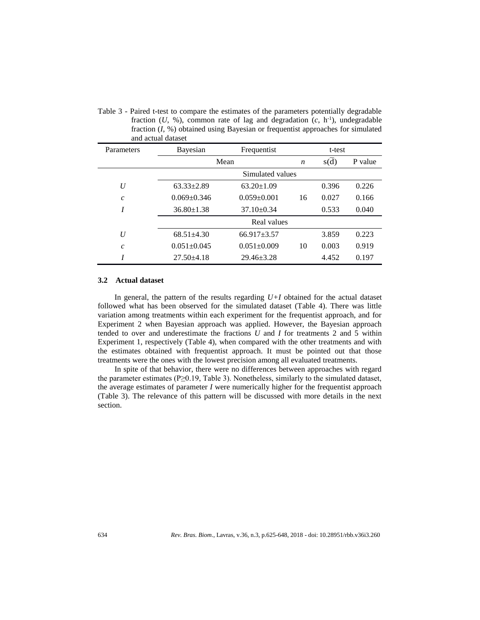|                         | ang actual galaset |                   |                  |        |         |  |
|-------------------------|--------------------|-------------------|------------------|--------|---------|--|
| Parameters              | Bayesian           | Frequentist       |                  | t-test |         |  |
|                         | Mean               |                   | $\boldsymbol{n}$ | s(d)   | P value |  |
|                         |                    | Simulated values  |                  |        |         |  |
| U                       | $63.33 \pm 2.89$   | $63.20 \pm 1.09$  |                  | 0.396  | 0.226   |  |
| $\mathcal{C}_{0}^{0}$   | $0.069 + 0.346$    | $0.059 \pm 0.001$ | 16               | 0.027  | 0.166   |  |
| I                       | $36.80 \pm 1.38$   | $37.10 \pm 0.34$  |                  | 0.533  | 0.040   |  |
|                         |                    | Real values       |                  |        |         |  |
| U                       | $68.51 + 4.30$     | $66.917 \pm 3.57$ |                  | 3.859  | 0.223   |  |
| $\mathcal{C}_{0}^{(n)}$ | $0.051 + 0.045$    | $0.051 \pm 0.009$ | 10               | 0.003  | 0.919   |  |
| I                       | $27.50 + 4.18$     | $29.46 \pm 3.28$  |                  | 4.452  | 0.197   |  |

Table 3 - Paired t-test to compare the estimates of the parameters potentially degradable fraction  $(U, %)$ , common rate of lag and degradation  $(c, h<sup>-1</sup>)$ , undegradable fraction (*I*, %) obtained using Bayesian or frequentist approaches for simulated and actual dataset

#### **3.2 Actual dataset**

In general, the pattern of the results regarding  $U+I$  obtained for the actual dataset followed what has been observed for the simulated dataset (Table 4). There was little variation among treatments within each experiment for the frequentist approach, and for Experiment 2 when Bayesian approach was applied. However, the Bayesian approach tended to over and underestimate the fractions *U* and *I* for treatments 2 and 5 within Experiment 1, respectively (Table 4), when compared with the other treatments and with the estimates obtained with frequentist approach. It must be pointed out that those treatments were the ones with the lowest precision among all evaluated treatments.

In spite of that behavior, there were no differences between approaches with regard the parameter estimates (P≥0.19, Table 3). Nonetheless, similarly to the simulated dataset, the average estimates of parameter *I* were numerically higher for the frequentist approach (Table 3). The relevance of this pattern will be discussed with more details in the next section.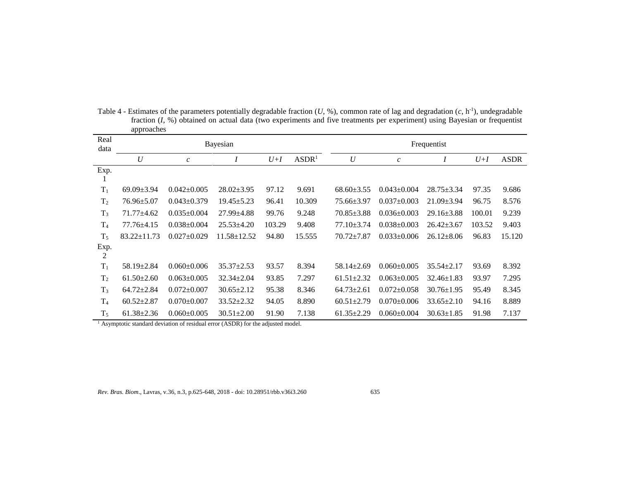| Real<br>data   | upprouence        |                   | Bayesian          |        | Frequentist       |                  |                   |                  |        |             |
|----------------|-------------------|-------------------|-------------------|--------|-------------------|------------------|-------------------|------------------|--------|-------------|
|                | U                 | $\mathcal{C}$     |                   | $U+I$  | ASDR <sup>1</sup> | U                | $\mathfrak c$     |                  | $U+I$  | <b>ASDR</b> |
| Exp.           |                   |                   |                   |        |                   |                  |                   |                  |        |             |
| $T_1$          | $69.09 \pm 3.94$  | $0.042 \pm 0.005$ | $28.02 \pm 3.95$  | 97.12  | 9.691             | $68.60 \pm 3.55$ | $0.043 \pm 0.004$ | $28.75 \pm 3.34$ | 97.35  | 9.686       |
| T <sub>2</sub> | $76.96 \pm 5.07$  | $0.043 \pm 0.379$ | $19.45 \pm 5.23$  | 96.41  | 10.309            | $75.66 \pm 3.97$ | $0.037 \pm 0.003$ | $21.09 \pm 3.94$ | 96.75  | 8.576       |
| $T_3$          | $71.77 + 4.62$    | $0.035 \pm 0.004$ | $27.99 \pm 4.88$  | 99.76  | 9.248             | $70.85 \pm 3.88$ | $0.036 \pm 0.003$ | $29.16 \pm 3.88$ | 100.01 | 9.239       |
| T <sub>4</sub> | $77.76 \pm 4.15$  | $0.038 \pm 0.004$ | $25.53 \pm 4.20$  | 103.29 | 9.408             | 77.10±3.74       | $0.038 \pm 0.003$ | $26.42 \pm 3.67$ | 103.52 | 9.403       |
| $T_5$          | $83.22 \pm 11.73$ | $0.027 \pm 0.029$ | $11.58 \pm 12.52$ | 94.80  | 15.555            | $70.72 \pm 7.87$ | $0.033 \pm 0.006$ | $26.12 \pm 8.06$ | 96.83  | 15.120      |
| Exp.<br>2      |                   |                   |                   |        |                   |                  |                   |                  |        |             |
| $T_1$          | $58.19 \pm 2.84$  | $0.060 \pm 0.006$ | $35.37 \pm 2.53$  | 93.57  | 8.394             | $58.14 \pm 2.69$ | $0.060 \pm 0.005$ | $35.54 \pm 2.17$ | 93.69  | 8.392       |
| T <sub>2</sub> | $61.50 \pm 2.60$  | $0.063 \pm 0.005$ | $32.34 \pm 2.04$  | 93.85  | 7.297             | $61.51 \pm 2.32$ | $0.063 \pm 0.005$ | $32.46 \pm 1.83$ | 93.97  | 7.295       |
| $T_3$          | $64.72 \pm 2.84$  | $0.072 \pm 0.007$ | $30.65 \pm 2.12$  | 95.38  | 8.346             | $64.73 \pm 2.61$ | $0.072 \pm 0.058$ | $30.76 \pm 1.95$ | 95.49  | 8.345       |
| T <sub>4</sub> | $60.52 \pm 2.87$  | $0.070 \pm 0.007$ | $33.52 \pm 2.32$  | 94.05  | 8.890             | $60.51 \pm 2.79$ | $0.070+0.006$     | $33.65 \pm 2.10$ | 94.16  | 8.889       |
| $T_5$          | $61.38 \pm 2.36$  | $0.060 \pm 0.005$ | $30.51 \pm 2.00$  | 91.90  | 7.138             | $61.35 \pm 2.29$ | $0.060 \pm 0.004$ | $30.63 \pm 1.85$ | 91.98  | 7.137       |

Table 4 - Estimates of the parameters potentially degradable fraction  $(U, \mathcal{C})$ , common rate of lag and degradation  $(c, h^{-1})$ , undegradable fraction (*I*, %) obtained on actual data (two experiments and five treatments per experiment) using Bayesian or frequentist approaches

<sup>1</sup> Asymptotic standard deviation of residual error (ASDR) for the adjusted model.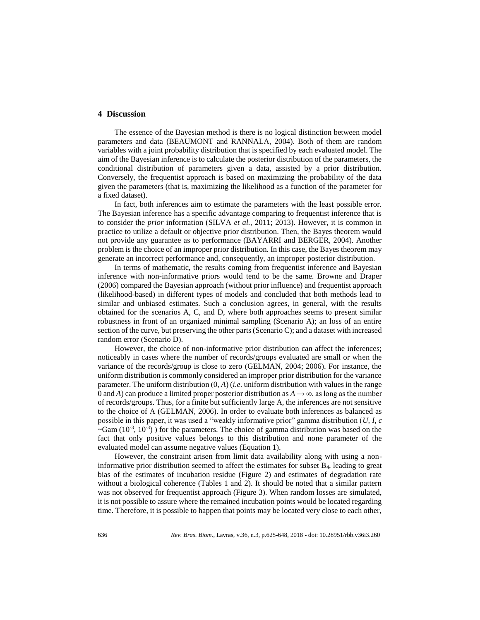# **4 Discussion**

The essence of the Bayesian method is there is no logical distinction between model parameters and data (BEAUMONT and RANNALA, 2004). Both of them are random variables with a joint probability distribution that is specified by each evaluated model. The aim of the Bayesian inference is to calculate the posterior distribution of the parameters, the conditional distribution of parameters given a data, assisted by a prior distribution. Conversely, the frequentist approach is based on maximizing the probability of the data given the parameters (that is, maximizing the likelihood as a function of the parameter for a fixed dataset).

In fact, both inferences aim to estimate the parameters with the least possible error. The Bayesian inference has a specific advantage comparing to frequentist inference that is to consider the *prior* information (SILVA *et al.*, 2011; 2013). However, it is common in practice to utilize a default or objective prior distribution. Then, the Bayes theorem would not provide any guarantee as to performance (BAYARRI and BERGER, 2004). Another problem is the choice of an improper prior distribution. In this case, the Bayes theorem may generate an incorrect performance and, consequently, an improper posterior distribution.

In terms of mathematic, the results coming from frequentist inference and Bayesian inference with non-informative priors would tend to be the same. Browne and Draper (2006) compared the Bayesian approach (without prior influence) and frequentist approach (likelihood-based) in different types of models and concluded that both methods lead to similar and unbiased estimates. Such a conclusion agrees, in general, with the results obtained for the scenarios A, C, and D, where both approaches seems to present similar robustness in front of an organized minimal sampling (Scenario A); an loss of an entire section of the curve, but preserving the other parts (Scenario C); and a dataset with increased random error (Scenario D).

However, the choice of non-informative prior distribution can affect the inferences; noticeably in cases where the number of records/groups evaluated are small or when the variance of the records/group is close to zero (GELMAN, 2004; 2006). For instance, the uniform distribution is commonly considered an improper prior distribution for the variance parameter. The uniform distribution (0, *A*) (*i.e.* uniform distribution with values in the range 0 and *A*) can produce a limited proper posterior distribution as  $A \rightarrow \infty$ , as long as the number of records/groups. Thus, for a finite but sufficiently large A, the inferences are not sensitive to the choice of A (GELMAN, 2006). In order to evaluate both inferences as balanced as possible in this paper, it was used a "weakly informative prior" gamma distribution (*U, I, c*  $\sim$ Gam (10<sup>-3</sup>, 10<sup>-3</sup>)) for the parameters. The choice of gamma distribution was based on the fact that only positive values belongs to this distribution and none parameter of the evaluated model can assume negative values (Equation 1).

However, the constraint arisen from limit data availability along with using a noninformative prior distribution seemed to affect the estimates for subset B4, leading to great bias of the estimates of incubation residue (Figure 2) and estimates of degradation rate without a biological coherence (Tables 1 and 2). It should be noted that a similar pattern was not observed for frequentist approach (Figure 3). When random losses are simulated, it is not possible to assure where the remained incubation points would be located regarding time. Therefore, it is possible to happen that points may be located very close to each other,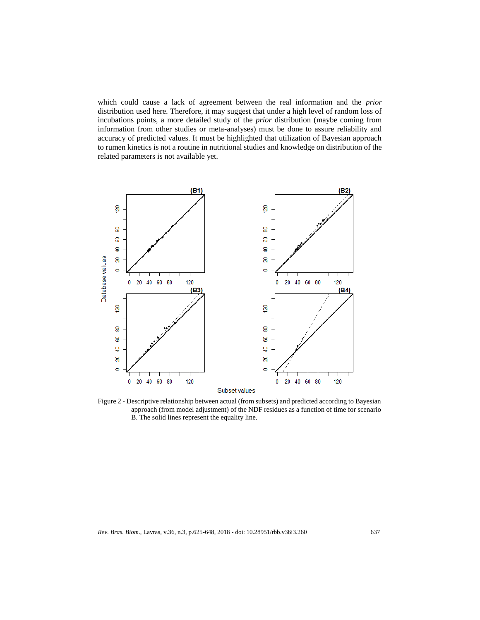which could cause a lack of agreement between the real information and the *prior* distribution used here. Therefore, it may suggest that under a high level of random loss of incubations points, a more detailed study of the *prior* distribution (maybe coming from information from other studies or meta-analyses) must be done to assure reliability and accuracy of predicted values. It must be highlighted that utilization of Bayesian approach to rumen kinetics is not a routine in nutritional studies and knowledge on distribution of the related parameters is not available yet.



Figure 2 - Descriptive relationship between actual (from subsets) and predicted according to Bayesian approach (from model adjustment) of the NDF residues as a function of time for scenario B. The solid lines represent the equality line.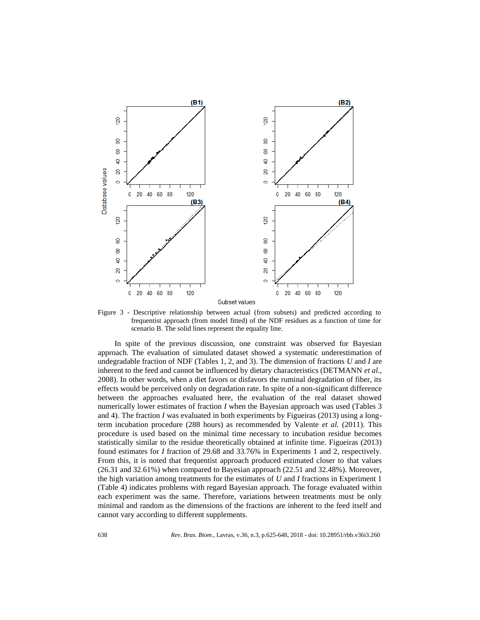

Figure 3 - Descriptive relationship between actual (from subsets) and predicted according to frequentist approach (from model fitted) of the NDF residues as a function of time for scenario B. The solid lines represent the equality line.

In spite of the previous discussion, one constraint was observed for Bayesian approach. The evaluation of simulated dataset showed a systematic underestimation of undegradable fraction of NDF (Tables 1, 2, and 3). The dimension of fractions *U* and *I* are inherent to the feed and cannot be influenced by dietary characteristics (DETMANN *et al.*, 2008). In other words, when a diet favors or disfavors the ruminal degradation of fiber, its effects would be perceived only on degradation rate. In spite of a non-significant difference between the approaches evaluated here, the evaluation of the real dataset showed numerically lower estimates of fraction *I* when the Bayesian approach was used (Tables 3 and 4). The fraction *I* was evaluated in both experiments by Figueiras (2013) using a longterm incubation procedure (288 hours) as recommended by Valente *et al.* (2011). This procedure is used based on the minimal time necessary to incubation residue becomes statistically similar to the residue theoretically obtained at infinite time. Figueiras (2013) found estimates for *I* fraction of 29.68 and 33.76% in Experiments 1 and 2, respectively. From this, it is noted that frequentist approach produced estimated closer to that values (26.31 and 32.61%) when compared to Bayesian approach (22.51 and 32.48%). Moreover, the high variation among treatments for the estimates of *U* and *I* fractions in Experiment 1 (Table 4) indicates problems with regard Bayesian approach. The forage evaluated within each experiment was the same. Therefore, variations between treatments must be only minimal and random as the dimensions of the fractions are inherent to the feed itself and cannot vary according to different supplements.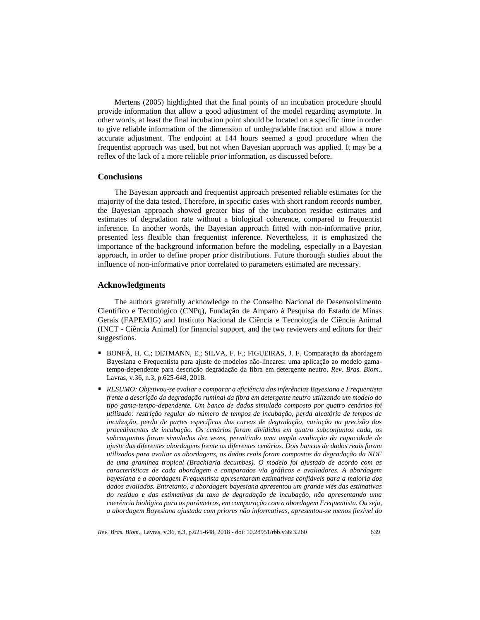Mertens (2005) highlighted that the final points of an incubation procedure should provide information that allow a good adjustment of the model regarding asymptote. In other words, at least the final incubation point should be located on a specific time in order to give reliable information of the dimension of undegradable fraction and allow a more accurate adjustment. The endpoint at 144 hours seemed a good procedure when the frequentist approach was used, but not when Bayesian approach was applied. It may be a reflex of the lack of a more reliable *prior* information, as discussed before.

### **Conclusions**

The Bayesian approach and frequentist approach presented reliable estimates for the majority of the data tested. Therefore, in specific cases with short random records number, the Bayesian approach showed greater bias of the incubation residue estimates and estimates of degradation rate without a biological coherence, compared to frequentist inference. In another words, the Bayesian approach fitted with non-informative prior, presented less flexible than frequentist inference. Nevertheless, it is emphasized the importance of the background information before the modeling, especially in a Bayesian approach, in order to define proper prior distributions. Future thorough studies about the influence of non-informative prior correlated to parameters estimated are necessary.

#### **Acknowledgments**

The authors gratefully acknowledge to the Conselho Nacional de Desenvolvimento Científico e Tecnológico (CNPq), Fundação de Amparo à Pesquisa do Estado de Minas Gerais (FAPEMIG) and Instituto Nacional de Ciência e Tecnologia de Ciência Animal (INCT - Ciência Animal) for financial support, and the two reviewers and editors for their suggestions.

- BONFÁ, H. C.; DETMANN, E.; SILVA, F. F.; FIGUEIRAS, J. F. Comparação da abordagem Bayesiana e Frequentista para ajuste de modelos não-lineares: uma aplicação ao modelo gamatempo-dependente para descrição degradação da fibra em detergente neutro. *Rev. Bras. Biom*., Lavras, v.36, n.3, p.625-648, 2018.
- *RESUMO: Objetivou-se avaliar e comparar a eficiência das inferências Bayesiana e Frequentista frente a descrição da degradação ruminal da fibra em detergente neutro utilizando um modelo do tipo gama-tempo-dependente. Um banco de dados simulado composto por quatro cenários foi utilizado: restrição regular do número de tempos de incubação, perda aleatória de tempos de incubação, perda de partes específicas das curvas de degradação, variação na precisão dos procedimentos de incubação. Os cenários foram divididos em quatro subconjuntos cada, os subconjuntos foram simulados dez vezes, permitindo uma ampla avaliação da capacidade de ajuste das diferentes abordagens frente os diferentes cenários. Dois bancos de dados reais foram utilizados para avaliar as abordagens, os dados reais foram compostos da degradação da NDF de uma gramínea tropical (Brachiaria decumbes). O modelo foi ajustado de acordo com as características de cada abordagem e comparados via gráficos e avaliadores. A abordagem bayesiana e a abordagem Frequentista apresentaram estimativas confiáveis para a maioria dos dados avaliados. Entretanto, a abordagem bayesiana apresentou um grande viés das estimativas do resíduo e das estimativas da taxa de degradação de incubação, não apresentando uma coerência biológica para os parâmetros, em comparação com a abordagem Frequentista. Ou seja, a abordagem Bayesiana ajustada com priores não informativas, apresentou-se menos flexível do*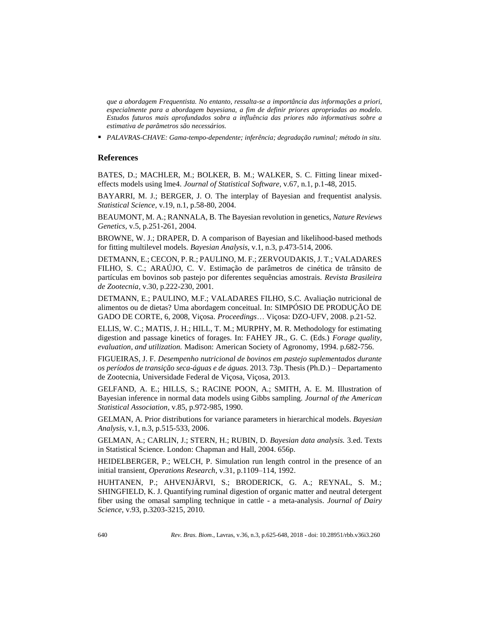*que a abordagem Frequentista. No entanto, ressalta-se a importância das informações a priori, especialmente para a abordagem bayesiana, a fim de definir priores apropriadas ao modelo. Estudos futuros mais aprofundados sobra a influência das priores não informativas sobre a estimativa de parâmetros são necessários.*

*PALAVRAS-CHAVE: Gama-tempo-dependente; inferência; degradação ruminal; método in situ.*

# **References**

BATES, D.; MACHLER, M.; BOLKER, B. M.; WALKER, S. C. Fitting linear mixedeffects models using lme4. *Journal of Statistical Software,* v.67, n.1, p.1-48, 2015.

BAYARRI, M. J.; BERGER, J. O. The interplay of Bayesian and frequentist analysis. *Statistical Science,* v.19, n.1, p.58-80, 2004.

BEAUMONT, M. A.; RANNALA, B. The Bayesian revolution in genetics, *Nature Reviews Genetics,* v.5, p.251-261, 2004.

BROWNE, W. J.; DRAPER, D. A comparison of Bayesian and likelihood-based methods for fitting multilevel models. *Bayesian Analysis,* v.1, n.3, p.473-514, 2006.

DETMANN, E.; CECON, P. R.; PAULINO, M. F.; ZERVOUDAKIS, J. T.; VALADARES FILHO, S. C.; ARAÚJO, C. V. Estimação de parâmetros de cinética de trânsito de partículas em bovinos sob pastejo por diferentes sequências amostrais. *Revista Brasileira de Zootecnia,* v.30, p.222-230, 2001.

DETMANN, E.; PAULINO, M.F.; VALADARES FILHO, S.C. Avaliação nutricional de alimentos ou de dietas? Uma abordagem conceitual. In: SIMPÓSIO DE PRODUÇÃO DE GADO DE CORTE, 6, 2008, Viçosa. *Proceedings*… Viçosa: DZO-UFV, 2008. p.21-52.

ELLIS, W. C.; MATIS, J. H.; HILL, T. M.; MURPHY, M. R. Methodology for estimating digestion and passage kinetics of forages. In: FAHEY JR., G. C. (Eds.) *Forage quality, evaluation, and utilization.* Madison: American Society of Agronomy, 1994. p.682-756.

FIGUEIRAS, J. F. *Desempenho nutricional de bovinos em pastejo suplementados durante os períodos de transição seca-águas e de águas.* 2013. 73p. Thesis (Ph.D.) – Departamento de Zootecnia, Universidade Federal de Viçosa, Viçosa, 2013.

GELFAND, A. E.; HILLS, S.; RACINE POON, A.; SMITH, A. E. M. Illustration of Bayesian inference in normal data models using Gibbs sampling. *Journal of the American Statistical Association,* v.85, p.972-985, 1990.

GELMAN, A. Prior distributions for variance parameters in hierarchical models. *Bayesian Analysis,* v.1, n.3, p.515-533, 2006.

GELMAN, A.; CARLIN, J.; STERN, H.; RUBIN, D. *Bayesian data analysis.* 3.ed. Texts in Statistical Science. London: Chapman and Hall, 2004. 656p.

HEIDELBERGER, P.; WELCH, P. Simulation run length control in the presence of an initial transient, *Operations Research*, v.31, p.1109–114, 1992.

HUHTANEN, P.; AHVENJÄRVI, S.; BRODERICK, G. A.; REYNAL, S. M.; SHINGFIELD, K. J. Quantifying ruminal digestion of organic matter and neutral detergent fiber using the omasal sampling technique in cattle - a meta-analysis. *Journal of Dairy Science*, v.93, p.3203-3215, 2010.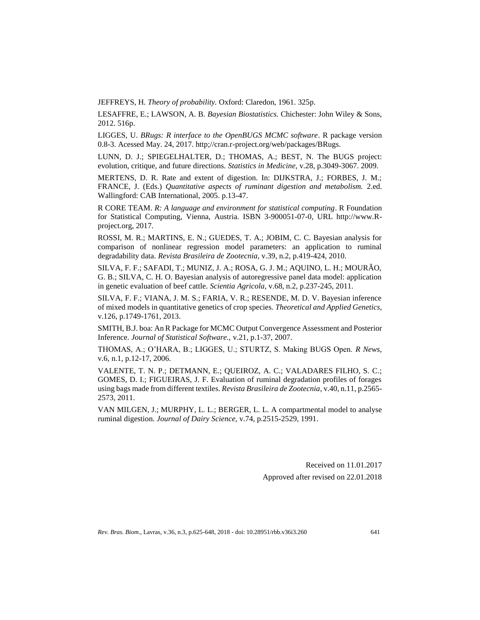JEFFREYS, H. *Theory of probability.* Oxford: Claredon, 1961. 325p.

LESAFFRE, E.; LAWSON, A. B. *Bayesian Biostatistics.* Chichester: John Wiley & Sons, 2012. 516p.

LIGGES, U. *BRugs: R interface to the OpenBUGS MCMC software*. R package version 0.8-3. Acessed May. 24, 2017. http;//cran.r-project.org/web/packages/BRugs.

LUNN, D. J.; SPIEGELHALTER, D.; THOMAS, A.; BEST, N. The BUGS project: evolution, critique, and future directions. *Statistics in Medicine,* v.28, p.3049-3067. 2009.

MERTENS, D. R. Rate and extent of digestion. In: DIJKSTRA, J.; FORBES, J. M.; FRANCE, J. (Eds.) *Quantitative aspects of ruminant digestion and metabolism.* 2.ed. Wallingford: CAB International, 2005. p.13-47.

R CORE TEAM. *R: A language and environment for statistical computing*. R Foundation for Statistical Computing, Vienna, Austria. ISBN 3-900051-07-0, URL http://www.Rproject.org, 2017.

ROSSI, M. R.; MARTINS, E. N.; GUEDES, T. A.; JOBIM, C. C. Bayesian analysis for comparison of nonlinear regression model parameters: an application to ruminal degradability data. *Revista Brasileira de Zootecnia,* v.39, n.2, p.419-424, 2010.

SILVA, F. F.; SAFADI, T.; MUNIZ, J. A.; ROSA, G. J. M.; AQUINO, L. H.; MOURÃO, G. B.; SILVA, C. H. O. Bayesian analysis of autoregressive panel data model: application in genetic evaluation of beef cattle. *Scientia Agricola,* v.68, n.2, p.237-245, 2011.

SILVA, F. F.; VIANA, J. M. S.; FARIA, V. R.; RESENDE, M. D. V. Bayesian inference of mixed models in quantitative genetics of crop species. *Theoretical and Applied Genetics,*  v.126, p.1749-1761, 2013.

SMITH, B.J. boa: An R Package for MCMC Output Convergence Assessment and Posterior Inference. *Journal of Statistical Software.,* v.21, p.1-37, 2007.

THOMAS, A.; O'HARA, B.; LIGGES, U.; STURTZ, S. Making BUGS Open. *R News,*  v.6, n.1, p.12-17, 2006.

VALENTE, T. N. P.; DETMANN, E.; QUEIROZ, A. C.; VALADARES FILHO, S. C.; GOMES, D. I.; FIGUEIRAS, J. F. Evaluation of ruminal degradation profiles of forages using bags made from different textiles. *Revista Brasileira de Zootecnia,* v.40, n.11, p.2565- 2573, 2011.

VAN MILGEN, J.; MURPHY, L. L.; BERGER, L. L. A compartmental model to analyse ruminal digestion. *Journal of Dairy Science,* v.74, p.2515-2529, 1991.

> Received on 11.01.2017 Approved after revised on 22.01.2018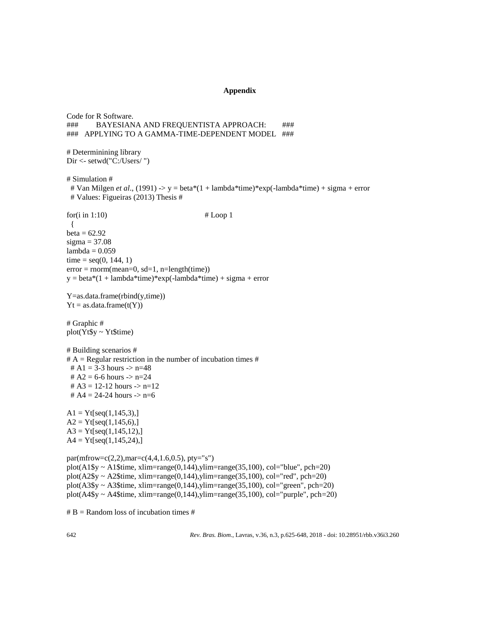### **Appendix**

Code for R Software. ### BAYESIANA AND FREQUENTISTA APPROACH: ### ### APPLYING TO A GAMMA-TIME-DEPENDENT MODEL ### # Determinining library Dir <- setwd("C:/Users/ ") # Simulation # # Van Milgen *et al*., (1991) -> y = beta\*(1 + lambda\*time)\*exp(-lambda\*time) + sigma + error # Values: Figueiras (2013) Thesis #  $for(i in 1:10)$  # Loop 1 {  $beta = 62.92$  $sigma = 37.08$  $lambda = 0.059$ time =  $seq(0, 144, 1)$  $error = norm(mean=0, sd=1, n=length(time))$  $y = beta*(1 + lambda*time)*exp(-lambda*time) + sigma + error$ Y=as.data.frame(rbind(y,time))  $Yt = as.data-frame(t(Y))$ # Graphic # plot(Yt\$y ~ Yt\$time) # Building scenarios #  $# A =$  Regular restriction in the number of incubation times  $# A$ # A1 = 3-3 hours ->  $n=48$ #  $A2 = 6-6$  hours  $\Rightarrow$  n=24 #  $A3 = 12-12$  hours  $\rightarrow$  n=12 #  $A4 = 24 - 24$  hours  $\Rightarrow$  n=6  $A1 = Yt[seq(1, 145, 3),]$  $A2 = Yt[seq(1, 145, 6),]$  $A3 = Yt[seq(1,145,12),]$  $A4 = Yt[seq(1, 145, 24),]$  $par(mfrow=c(2,2),mar=c(4,4,1.6,0.5), pty="s")$ plot(A1\$y ~ A1\$time, xlim=range(0,144), ylim=range(35,100), col="blue", pch=20) plot(A2\$y ~ A2\$time, xlim=range(0,144),ylim=range(35,100), col="red", pch=20) plot(A3\$y ~ A3\$time, xlim=range(0,144),ylim=range(35,100), col="green", pch=20) plot(A4\$y ~ A4\$time, xlim=range(0,144),ylim=range(35,100), col="purple", pch=20)  $# B =$ Random loss of incubation times #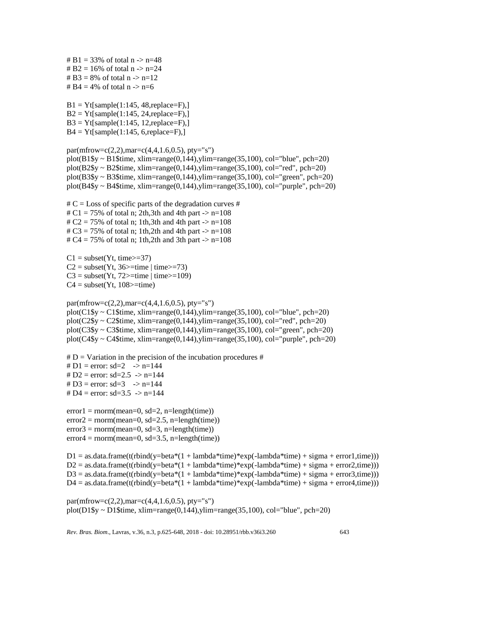# B1 = 33% of total  $n > n=48$ #  $B2 = 16%$  of total n -> n=24 # B3 = 8% of total  $n \rightarrow n=12$ # B4 = 4% of total  $n \rightarrow n=6$  $B1 = Yt[sample(1:145, 48, replace=F),]$  $B2 = Yt[sample(1:145, 24, replace=F),]$  $B3 = Yt[sample(1:145, 12, replace=F),]$  $B4 = Yt[sample(1:145, 6, replace=F),]$ par(mfrow=c(2,2),mar=c(4,4,1.6,0.5), pty="s") plot(B1\$y ~ B1\$time, xlim=range(0,144), ylim=range(35,100), col="blue", pch=20) plot(B2\$y ~ B2\$time, xlim=range(0,144),ylim=range(35,100), col="red", pch=20)  $plot(B3$y ~ B3$time, xlim = range(0,144), ylim = range(35,100), col = "green", pch = 20)$ plot(B4\$y ~ B4\$time, xlim=range(0,144), ylim=range(35,100), col="purple", pch=20)  $\# C$  = Loss of specific parts of the degradation curves  $\#$  $\# \text{C1} = 75\%$  of total n; 2th,3th and 4th part  $\Rightarrow$  n=108 #  $C2 = 75%$  of total n; 1th,3th and 4th part  $\rightarrow$  n=108 #  $C3 = 75%$  of total n; 1th,2th and 4th part  $\rightarrow$  n=108 #  $C4 = 75%$  of total n; 1th,2th and 3th part  $\rightarrow$  n=108  $C1 = subset(Yt, time>=37)$  $C2 = subset(Yt, 36 \geq time | time \geq t=73)$  $C3 = subset(Yt, 72>=time | time>=109)$  $C4 = subset(Yt, 108>=time)$ par(mfrow=c(2,2),mar=c(4,4,1.6,0.5), pty="s") plot( $C1\$ y ~  $C1\$ time, xlim=range(0,144),ylim=range(35,100), col="blue", pch=20) plot(C2\$y ~ C2\$time, xlim=range(0,144), ylim=range(35,100), col="red", pch=20) plot(C3\$y ~ C3\$time, xlim=range(0,144), ylim=range(35,100), col="green", pch=20) plot(C4\$y ~ C4\$time, xlim=range(0,144),ylim=range(35,100), col="purple", pch=20)  $# D =$  Variation in the precision of the incubation procedures #  $# D1 = error: sd = 2 \rightarrow n = 144$ #  $D2 = error: sd = 2.5 \rightarrow n = 144$ #  $D3 = error: sd = 3 \rightarrow n = 144$  $# D4 = error: sd = 3.5 \rightarrow n = 144$  $error1 = norm(mean=0, sd=2, n=length(time))$  $error2 = norm(mean=0, sd=2.5, n=length(time))$  $error3 = norm(mean=0, sd=3, n=length(time))$  $error4 = norm(mean=0, sd=3.5, n=length(time))$  $D1 = as.data frame(t(rbind(y=beta*(1 + lambda*time)*exp(-lambda*time)) = as.data frame))$  $D2 =$  as.data.frame(t(rbind(y=beta\*(1 + lambda\*time)\*exp(-lambda\*time) + sigma + error2,time)))  $D3 = as.data frame(t(rbind(y=beta*(1 + lambda*time)*exp(-lambda*time)) + signa + error3, time)))$  $D4 =$  as.data.frame(t(rbind(y=beta\*(1 + lambda\*time)\*exp(-lambda\*time) + sigma + error4,time)))  $par(mfrow=c(2,2),mar=c(4,4,1.6,0.5), pty="s")$ 

plot(D1\$y ~ D1\$time, xlim=range(0,144), ylim=range(35,100), col="blue", pch=20)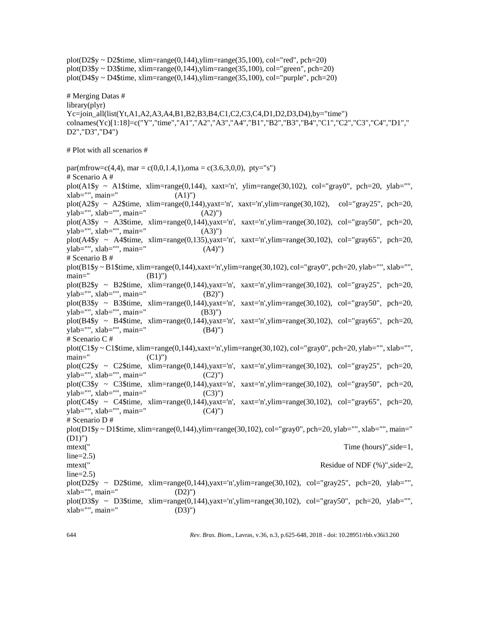plot(D2\$y ~ D2\$time, xlim=range(0,144),ylim=range(35,100), col="red", pch=20) plot(D3\$y ~ D3\$time, xlim=range(0,144),ylim=range(35,100), col="green", pch=20) plot(D4\$y ~ D4\$time, xlim=range(0,144),ylim=range(35,100), col="purple", pch=20)

# Merging Datas # library(plyr) Yc=join\_all(list(Yt,A1,A2,A3,A4,B1,B2,B3,B4,C1,C2,C3,C4,D1,D2,D3,D4),by="time") colnames(Yc)[1:18]=c("Y","time","A1","A2","A3","A4","B1","B2","B3","B4","C1","C2","C3","C4","D1"," D2","D3","D4")

# Plot with all scenarios #

par(mfrow=c(4,4), mar = c(0,0,1.4,1),oma = c(3.6,3,0,0), pty="s") # Scenario A # plot(A1\$y ~ A1\$time, xlim=range(0,144), xaxt='n', ylim=range(30,102), col="gray0", pch=20, ylab="",  $xlab="$ ,  $main="$  (A1)") plot(A2\$y ~ A2\$time, xlim=range(0,144),yaxt='n', xaxt='n',ylim=range(30,102), col="gray25", pch=20, ylab="", xlab="", main=" (A2)") plot(A3\$y ~ A3\$time, xlim=range(0,144),yaxt='n', xaxt='n',ylim=range(30,102), col="gray50", pch=20, ylab="", xlab="", main=" (A3)") plot(A4\$y ~ A4\$time, xlim=range(0,135),yaxt='n', xaxt='n',ylim=range(30,102), col="gray65", pch=20, ylab="", xlab="", main=" (A4)") # Scenario B # plot(B1\$y ~ B1\$time, xlim=range(0,144),xaxt='n',ylim=range(30,102), col="gray0", pch=20, ylab="", xlab="", main="  $(B1)$ ") plot(B2\$y ~ B2\$time, xlim=range(0,144),yaxt='n', xaxt='n',ylim=range(30,102), col="gray25", pch=20,  $y \, lab="", x \, lab="", main="(B2)")$ plot(B3\$y ~ B3\$time, xlim=range(0,144),yaxt='n', xaxt='n',ylim=range(30,102), col="gray50", pch=20,  $y \, lab="", x \, lab="", main="(B3)")$ plot(B4\$y ~ B4\$time, xlim=range(0,144),yaxt='n', xaxt='n',ylim=range(30,102), col="gray65", pch=20, ylab="", xlab="", main=" (B4)") # Scenario C # plot( $C1\$ y ~  $C1\$ time, xlim=range(0,144),xaxt='n',ylim=range(30,102), col="gray0", pch=20, ylab="", xlab="", main=" $(C1)$ ") plot(C2\$y ~ C2\$time, xlim=range(0,144),yaxt='n', xaxt='n',ylim=range(30,102), col="gray25", pch=20,  $y \, lab="", x \, lab="", main="(C2)")$ plot(C3\$y ~ C3\$time, xlim=range(0,144),yaxt='n', xaxt='n',ylim=range(30,102), col="gray50", pch=20,  $y \, lab="", x \, lab="", main="(C3)")$ plot(C4\$y ~ C4\$time, xlim=range(0,144),yaxt='n', xaxt='n',ylim=range(30,102), col="gray65", pch=20,  $ylab="", xlab="", main=" (C4)")$ # Scenario D # plot(D1\$y ~ D1\$time, xlim=range(0,144),ylim=range(30,102), col="gray0", pch=20, ylab="", xlab="", main=" (D1)") mtext(" Time (hours)", side=1,  $line=2.5$ ) mtext(" Residue of NDF (%)", side=2, line=2.5) plot(D2\$y ~ D2\$time, xlim=range(0,144),yaxt='n',ylim=range(30,102), col="gray25", pch=20, ylab="", xlab="", main=" (D2)") plot(D3\$y ~ D3\$time, xlim=range(0,144),yaxt='n',ylim=range(30,102), col="gray50", pch=20, ylab="",  $xlab="$ ,  $main="$  (D3)")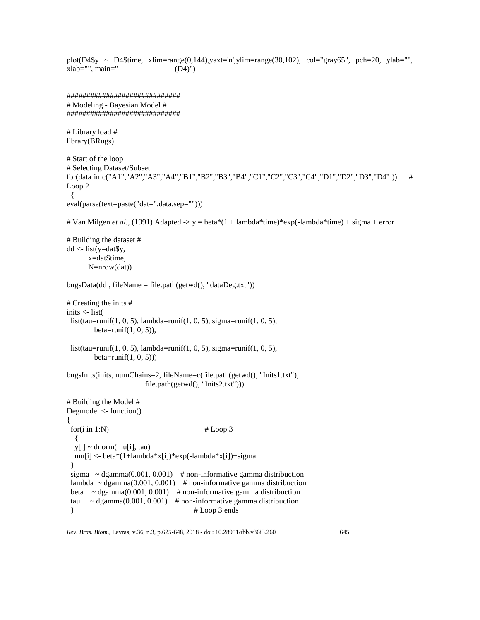```
plot(D4$y ~ D4$time, xlim=range(0,144),yaxt='n',ylim=range(30,102), col="gray65", pch=20, ylab="",
xlab="", main=" (D4)")#############################
# Modeling - Bayesian Model #
#############################
# Library load #
library(BRugs)
# Start of the loop
# Selecting Dataset/Subset
for(data in c("A1","A2","A3","A4","B1","B2","B3","B4","C1","C2","C3","C4","D1","D2","D3","D4" )) #
Loop 2
  {
eval(parse(text=paste("dat=",data,sep="")))
# Van Milgen et al., (1991) Adapted -> y = beta*(1 + lambda*time)*exp(-lambda*time) + sigma + error
# Building the dataset #
dd <- list(y=dat$y,
        x=dat$time,
        N=nrow(dat))
bugsData(dd, fileName = file.path(getwd(), "dataDeg.txt"))# Creating the inits #
inits <- list(
 list(tau=runif(1, 0, 5), lambda=runif(1, 0, 5), sigma=runif(1, 0, 5),beta=runif(1, 0, 5)),
 list(tau=runif(1, 0, 5), lambda=runif(1, 0, 5), sigma=runif(1, 0, 5),beta=runif(1, 0, 5))
bugsInits(inits, numChains=2, fileName=c(file.path(getwd(), "Inits1.txt"), 
                           file.path(getwd(), "Inits2.txt")))
# Building the Model #
Degmodel <- function()
{
 for(i in 1:N) \# \text{Loop } 3 {
  y[i] \sim \text{dnorm}(mu[i], tau) mu[i] <- beta*(1+lambda*x[i])*exp(-lambda*x[i])+sigma
  }
 sigma \sim dgamma(0.001, 0.001) # non-informative gamma distribuction
 lambda ~ dgamma(0.001, 0.001) # non-informative gamma distribuction
 beta \sim dgamma(0.001, 0.001) # non-informative gamma distribuction
 tau \sim dgamma(0.001, 0.001) # non-informative gamma distribuction
 \frac{1}{2} \frac{1}{2} \frac{1}{2} \frac{1}{2} \frac{1}{2} \frac{1}{2} \frac{1}{2} \frac{1}{2} \frac{1}{2} \frac{1}{2} \frac{1}{2} \frac{1}{2} \frac{1}{2} \frac{1}{2} \frac{1}{2} \frac{1}{2} \frac{1}{2} \frac{1}{2} \frac{1}{2} \frac{1}{2} \frac{1}{2} \frac{1}{2}
```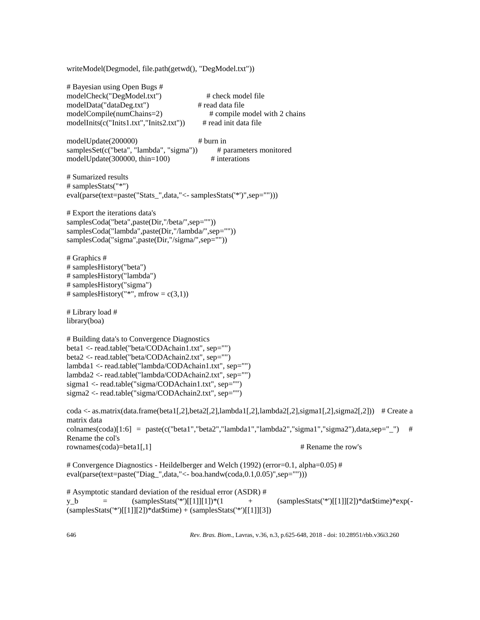| writeModel(Degmodel, file.path(getwd(), "DegModel.txt"))                                                                                                                                                                                                                                                                                                                                     |                                                                                                             |
|----------------------------------------------------------------------------------------------------------------------------------------------------------------------------------------------------------------------------------------------------------------------------------------------------------------------------------------------------------------------------------------------|-------------------------------------------------------------------------------------------------------------|
| # Bayesian using Open Bugs #<br>modelCheck("DegModel.txt")<br>modelData("dataDeg.txt")<br>modelCompile(numChains=2)<br>modelInits(c("Inits1.txt","Inits2.txt"))                                                                                                                                                                                                                              | # check model file<br># read data file<br># compile model with 2 chains<br># read init data file            |
| modelUpdate(200000)<br>samplesSet(c("beta", "lambda", "sigma"))<br>modelUpdate $(300000, thin=100)$                                                                                                                                                                                                                                                                                          | $#$ burn in<br># parameters monitored<br># interations                                                      |
| # Sumarized results<br># samplesStats("*")<br>eval(parse(text=paste("Stats_",data,"<- samplesStats('*')",sep="")))                                                                                                                                                                                                                                                                           |                                                                                                             |
| # Export the iterations data's<br>samplesCoda("beta",paste(Dir,"/beta/",sep=""))<br>samplesCoda("lambda",paste(Dir,"/lambda/",sep=""))<br>samplesCoda("sigma",paste(Dir,"/sigma/",sep=""))                                                                                                                                                                                                   |                                                                                                             |
| # Graphics #<br># samplesHistory("beta")<br># samplesHistory("lambda")<br># samplesHistory("sigma")<br># samplesHistory("*", mfrow = $c(3,1)$ )                                                                                                                                                                                                                                              |                                                                                                             |
| # Library load #<br>library(boa)                                                                                                                                                                                                                                                                                                                                                             |                                                                                                             |
| # Building data's to Convergence Diagnostics<br>beta1 <- read.table("beta/CODAchain1.txt", sep="")<br>beta2 <- read.table("beta/CODAchain2.txt", sep="")<br>lambda1 <- read.table("lambda/CODAchain1.txt", sep="")<br>lambda2 <- read.table("lambda/CODAchain2.txt", sep="")<br>sigma1 <- read.table("sigma/CODAchain1.txt", sep="")<br>sigma2 <- read.table("sigma/CODAchain2.txt", sep="") |                                                                                                             |
| matrix data                                                                                                                                                                                                                                                                                                                                                                                  | coda <- as.matrix(data.frame(beta1[,2],beta2[,2],lambda1[,2],lambda2[,2],sigma1[,2],sigma2[,2])) # Create a |
| Rename the col's                                                                                                                                                                                                                                                                                                                                                                             | colnames(coda)[1:6] = paste(c("beta1","beta2","lambda1","lambda2","sigma1","sigma2"),data,sep="_")<br>#     |
| rownames(coda)=beta1[,1]                                                                                                                                                                                                                                                                                                                                                                     | # Rename the row's                                                                                          |
| eval(parse(text=paste("Diag_",data,"<- boa.handw(coda,0.1,0.05)",sep="")))                                                                                                                                                                                                                                                                                                                   | # Convergence Diagnostics - Heildelberger and Welch (1992) (error=0.1, alpha=0.05) #                        |
| # Asymptotic standard deviation of the residual error (ASDR) #<br>$(samplesStats("*)[[1]][1])*(1)$<br>y_b                                                                                                                                                                                                                                                                                    | $(samplesStats("*)[[1]][2])^*dat$time)*exp(-$                                                               |

646 *Rev. Bras. Biom*., Lavras, v.36, n.3, p.625-648, 2018 - doi: 10.28951/rbb.v36i3.260

 $(samplesStats('*)[[1]][2]) * dat$time) + (samplesStats('*)[[1]][3])$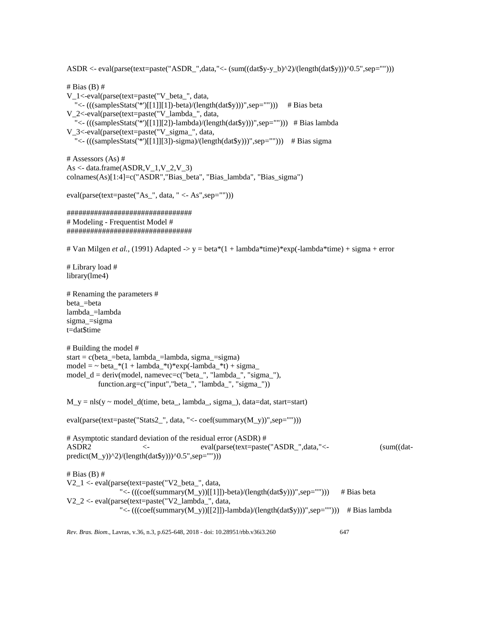ASDR <- eval(parse(text=paste("ASDR\_",data,"<- (sum((dat\$y-y\_b)^2)/(length(dat\$y)))^0.5",sep="")))

*Rev. Bras. Biom*., Lavras, v.36, n.3, p.625-648, 2018 - doi: 10.28951/rbb.v36i3.260 647  $# Bias(B)$ # V\_1<-eval(parse(text=paste("V\_beta\_", data, "<- $(((samplesStats("*)[[1]][1])-beta)/(length(data*y)))$ ",sep=""))) # Bias beta V\_2<-eval(parse(text=paste("V\_lambda\_", data, "<- $(((samplesStats('*)[[1]][2])$ -lambda)/ $(length(data\$y)))$ ",sep=""))) # Bias lambda V\_3<-eval(parse(text=paste("V\_sigma\_", data, "<- $(((samplesStats("*)[[1]][3]) - sigma)/(length(dataSy)))$ ",sep=""))) # Bias sigma # Assessors (As) #  $As < -dataframe(ASDR, V_1, V_2, V_3)$ colnames(As)[1:4]=c("ASDR","Bias\_beta", "Bias\_lambda", "Bias\_sigma") eval(parse(text=paste("As\_", data, " <- As",sep=""))) ################################ # Modeling - Frequentist Model # ################################ # Van Milgen *et al.*, (1991) Adapted -> y = beta\*(1 + lambda\*time)\*exp(-lambda\*time) + sigma + error # Library load # library(lme4) # Renaming the parameters # beta\_=beta lambda\_=lambda sigma\_=sigma t=dat\$time # Building the model #  $start = c(beta_5 - beta, lambda_5 - lam bda, sigma_5 - sigma)$ model = ~ beta  $*(1 + lambda *t)*exp(-lambda *t) + sigma$ model\_d = deriv(model, namevec=c("beta\_", "lambda\_", "sigma\_"), function.arg=c("input","beta\_", "lambda\_", "sigma\_"))  $M_y = nls(y \sim model_d(time, beta_s lambda_s, sigma_s)$ , data=dat, start=start) eval(parse(text=paste("Stats2\_", data, "<- coef(summary(M\_y))",sep=""))) # Asymptotic standard deviation of the residual error (ASDR) # ASDR2 <- eval(parse(text=paste("ASDR\_",data,"<- (sum((datpredict(M\_y))^2)/(length(dat\$y)))^0.5",sep=""))) # Bias (B) # V2  $1 <$ - eval(parse(text=paste("V2 beta ", data, "<- $(((\text{coeff}(summary(M_y))[[1]])\text{-beta})/(length(data\$y)))$ ",sep=""))) # Bias beta V2\_2 <- eval(parse(text=paste("V2\_lambda\_", data, "<- $(((\text{coeff}(summary(M_y))[[2]])$ -lambda)/ $(length(dataSy)))$ ",sep=""))) # Bias lambda